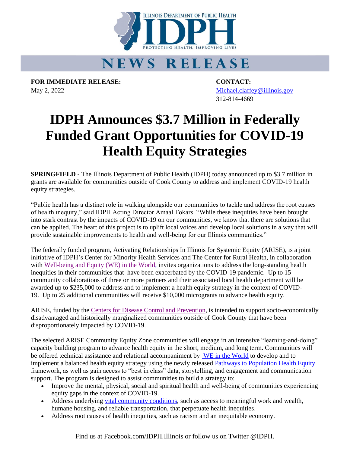

## **NEWS RELEASE**

**FOR IMMEDIATE RELEASE: CONTACT:**  May 2, 2022 [Michael.claffey@illinois.gov](mailto:Michael.claffey@illinois.gov)

312-814-4669

# **IDPH Announces \$3.7 Million in Federally Funded Grant Opportunities for COVID-19 Health Equity Strategies**

**SPRINGFIELD** - The Illinois Department of Public Health (IDPH) today announced up to \$3.7 million in grants are available for communities outside of Cook County to address and implement COVID-19 health equity strategies.

"Public health has a distinct role in walking alongside our communities to tackle and address the root causes of health inequity," said IDPH Acting Director Amaal Tokars. "While these inequities have been brought into stark contrast by the impacts of COVID-19 on our communities, we know that there are solutions that can be applied. The heart of this project is to uplift local voices and develop local solutions in a way that will provide sustainable improvements to health and well-being for our Illinois communities."

The federally funded program, Activating Relationships In Illinois for Systemic Equity (ARISE), is a joint initiative of IDPH's Center for Minority Health Services and The Center for Rural Health, in collaboration with [Well-being and Equity](https://www.weintheworld.org/) (WE) in the World, invites organizations to address the long-standing health inequities in their communities that have been exacerbated by the COVID-19 pandemic. Up to 15 community collaborations of three or more partners and their associated local health department will be awarded up to \$235,000 to address and to implement a health equity strategy in the context of COVID-19. Up to 25 additional communities will receive \$10,000 microgrants to advance health equity.

ARISE, funded by the [Centers for Disease Control and Prevention,](https://www.cdc.gov/) is intended to support socio-economically disadvantaged and historically marginalized communities outside of Cook County that have been disproportionately impacted by COVID-19.

The selected ARISE Community Equity Zone communities will engage in an intensive "learning-and-doing" capacity building program to advance health equity in the short, medium, and long term. Communities will be offered technical assistance and relational accompaniment by [WE in the World](https://www.weintheworld.org/) to develop and to implement a balanced health equity strategy using the newly released [Pathways to Population Health Equity](https://www.publichealthequity.org/) framework, as well as gain access to "best in class" data, storytelling, and engagement and communication support. The program is designed to assist communities to build a strategy to:

- Improve the mental, physical, social and spiritual health and well-being of communities experiencing equity gaps in the context of COVID-19.
- Address underlying [vital community conditions,](https://winnetwork.org/vital-conditions) such as access to meaningful work and wealth, humane housing, and reliable transportation, that perpetuate health inequities.
- Address root causes of health inequities, such as racism and an inequitable economy.